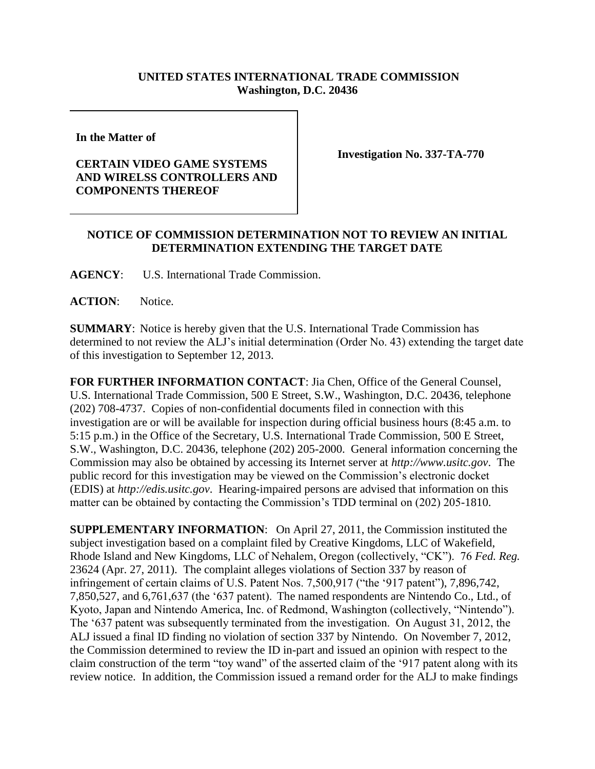## **UNITED STATES INTERNATIONAL TRADE COMMISSION Washington, D.C. 20436**

**In the Matter of** 

## **CERTAIN VIDEO GAME SYSTEMS AND WIRELSS CONTROLLERS AND COMPONENTS THEREOF**

**Investigation No. 337-TA-770**

## **NOTICE OF COMMISSION DETERMINATION NOT TO REVIEW AN INITIAL DETERMINATION EXTENDING THE TARGET DATE**

**AGENCY**: U.S. International Trade Commission.

**ACTION**: Notice.

**SUMMARY**: Notice is hereby given that the U.S. International Trade Commission has determined to not review the ALJ's initial determination (Order No. 43) extending the target date of this investigation to September 12, 2013.

**FOR FURTHER INFORMATION CONTACT**: Jia Chen, Office of the General Counsel, U.S. International Trade Commission, 500 E Street, S.W., Washington, D.C. 20436, telephone (202) 708-4737. Copies of non-confidential documents filed in connection with this investigation are or will be available for inspection during official business hours (8:45 a.m. to 5:15 p.m.) in the Office of the Secretary, U.S. International Trade Commission, 500 E Street, S.W., Washington, D.C. 20436, telephone (202) 205-2000. General information concerning the Commission may also be obtained by accessing its Internet server at *http://www.usitc.gov*. The public record for this investigation may be viewed on the Commission's electronic docket (EDIS) at *http://edis.usitc.gov*. Hearing-impaired persons are advised that information on this matter can be obtained by contacting the Commission's TDD terminal on (202) 205-1810.

**SUPPLEMENTARY INFORMATION**: On April 27, 2011, the Commission instituted the subject investigation based on a complaint filed by Creative Kingdoms, LLC of Wakefield, Rhode Island and New Kingdoms, LLC of Nehalem, Oregon (collectively, "CK"). 76 *Fed. Reg.*  23624 (Apr. 27, 2011). The complaint alleges violations of Section 337 by reason of infringement of certain claims of U.S. Patent Nos. 7,500,917 ("the '917 patent"), 7,896,742, 7,850,527, and 6,761,637 (the '637 patent).The named respondents are Nintendo Co., Ltd., of Kyoto, Japan and Nintendo America, Inc. of Redmond, Washington (collectively, "Nintendo"). The '637 patent was subsequently terminated from the investigation. On August 31, 2012, the ALJ issued a final ID finding no violation of section 337 by Nintendo. On November 7, 2012, the Commission determined to review the ID in-part and issued an opinion with respect to the claim construction of the term "toy wand" of the asserted claim of the '917 patent along with its review notice. In addition, the Commission issued a remand order for the ALJ to make findings